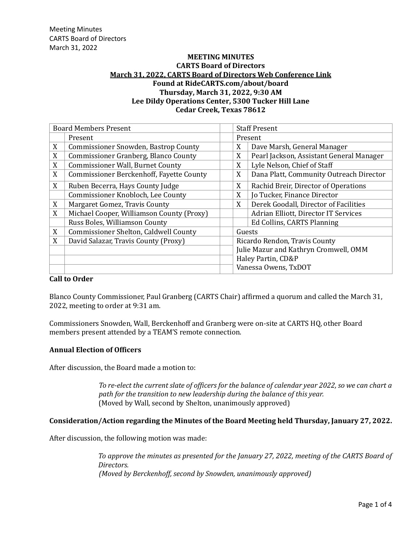## **MEETING MINUTES CARTS Board of Directors March 31, 2022, [CARTS Board of Directors Web Conference Link](https://teams.microsoft.com/l/meetup-join/19%3ameeting_NmM0ZWViOTktMTdjNC00MzQzLWFlYWYtYWJiMDU5NGMxNDky%40thread.v2/0?context=%7b%22Tid%22%3a%22db7a7b15-7123-4e4e-a557-185a32396771%22%2c%22Oid%22%3a%22728d923c-f3a4-4933-8477-15d119041fd3%22%7d) Found at RideCARTS.com/about/board Thursday, March 31, 2022, 9:30 AM Lee Dildy Operations Center, 5300 Tucker Hill Lane Cedar Creek, Texas 78612**

| <b>Board Members Present</b> |                                                 |   | <b>Staff Present</b>                     |  |  |
|------------------------------|-------------------------------------------------|---|------------------------------------------|--|--|
|                              | Present                                         |   | Present                                  |  |  |
| X                            | <b>Commissioner Snowden, Bastrop County</b>     | X | Dave Marsh, General Manager              |  |  |
| X                            | Commissioner Granberg, Blanco County            | X | Pearl Jackson, Assistant General Manager |  |  |
| X                            | <b>Commissioner Wall, Burnet County</b>         | X | Lyle Nelson, Chief of Staff              |  |  |
| X                            | <b>Commissioner Berckenhoff, Fayette County</b> | X | Dana Platt, Community Outreach Director  |  |  |
| X                            | Ruben Becerra, Hays County Judge                | X | Rachid Breir, Director of Operations     |  |  |
|                              | Commissioner Knobloch, Lee County               | X | Jo Tucker, Finance Director              |  |  |
| X                            | Margaret Gomez, Travis County                   | X | Derek Goodall, Director of Facilities    |  |  |
| X                            | Michael Cooper, Williamson County (Proxy)       |   | Adrian Elliott, Director IT Services     |  |  |
|                              | Russ Boles, Williamson County                   |   | Ed Collins, CARTS Planning               |  |  |
| X                            | Commissioner Shelton, Caldwell County           |   | Guests                                   |  |  |
| X                            | David Salazar, Travis County (Proxy)            |   | Ricardo Rendon, Travis County            |  |  |
|                              |                                                 |   | Julie Mazur and Kathryn Cromwell, OMM    |  |  |
|                              |                                                 |   | Haley Partin, CD&P                       |  |  |
|                              |                                                 |   | Vanessa Owens, TxDOT                     |  |  |

## **Call to Order**

Blanco County Commissioner, Paul Granberg (CARTS Chair) affirmed a quorum and called the March 31, 2022, meeting to order at 9:31 am.

Commissioners Snowden, Wall, Berckenhoff and Granberg were on-site at CARTS HQ, other Board members present attended by a TEAM'S remote connection.

## **Annual Election of Officers**

After discussion, the Board made a motion to:

*To re-elect the current slate of officers for the balance of calendar year 2022, so we can chart a path for the transition to new leadership during the balance of this year.* (Moved by Wall, second by Shelton, unanimously approved)

## **Consideration/Action regarding the Minutes of the Board Meeting held Thursday, January 27, 2022.**

After discussion, the following motion was made:

*To approve the minutes as presented for the January 27, 2022, meeting of the CARTS Board of Directors. (Moved by Berckenhoff, second by Snowden, unanimously approved)*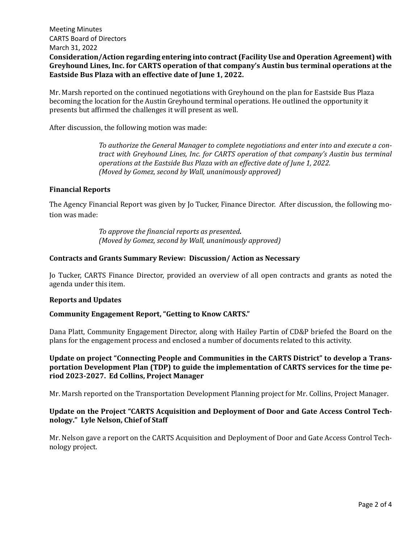## Meeting Minutes CARTS Board of Directors March 31, 2022 **Consideration/Action regarding entering into contract (Facility Use and Operation Agreement) with Greyhound Lines, Inc. for CARTS operation of that company's Austin bus terminal operations at the Eastside Bus Plaza with an effective date of June 1, 2022.**

Mr. Marsh reported on the continued negotiations with Greyhound on the plan for Eastside Bus Plaza becoming the location for the Austin Greyhound terminal operations. He outlined the opportunity it presents but affirmed the challenges it will present as well.

After discussion, the following motion was made:

*To authorize the General Manager to complete negotiations and enter into and execute a contract with Greyhound Lines, Inc. for CARTS operation of that company's Austin bus terminal operations at the Eastside Bus Plaza with an effective date of June 1, 2022. (Moved by Gomez, second by Wall, unanimously approved)*

#### **Financial Reports**

The Agency Financial Report was given by Jo Tucker, Finance Director. After discussion, the following motion was made:

> *To approve the financial reports as presented. (Moved by Gomez, second by Wall, unanimously approved)*

#### **Contracts and Grants Summary Review: Discussion/ Action as Necessary**

Jo Tucker, CARTS Finance Director, provided an overview of all open contracts and grants as noted the agenda under this item.

#### **Reports and Updates**

#### **Community Engagement Report, "Getting to Know CARTS."**

Dana Platt, Community Engagement Director, along with Hailey Partin of CD&P briefed the Board on the plans for the engagement process and enclosed a number of documents related to this activity.

**Update on project "Connecting People and Communities in the CARTS District" to develop a Transportation Development Plan (TDP) to guide the implementation of CARTS services for the time period 2023-2027. Ed Collins, Project Manager**

Mr. Marsh reported on the Transportation Development Planning project for Mr. Collins, Project Manager.

## **Update on the Project "CARTS Acquisition and Deployment of Door and Gate Access Control Technology." Lyle Nelson, Chief of Staff**

Mr. Nelson gave a report on the CARTS Acquisition and Deployment of Door and Gate Access Control Technology project.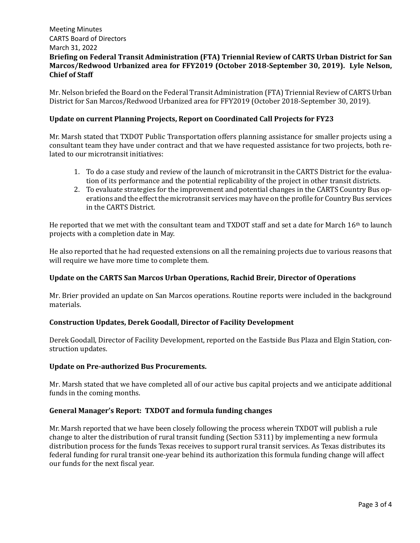# Meeting Minutes CARTS Board of Directors March 31, 2022 **Briefing on Federal Transit Administration (FTA) Triennial Review of CARTS Urban District for San Marcos/Redwood Urbanized area for FFY2019 (October 2018-September 30, 2019). Lyle Nelson, Chief of Staff**

Mr. Nelson briefed the Board on the Federal Transit Administration (FTA) Triennial Review of CARTS Urban District for San Marcos/Redwood Urbanized area for FFY2019 (October 2018-September 30, 2019).

## **Update on current Planning Projects, Report on Coordinated Call Projects for FY23**

Mr. Marsh stated that TXDOT Public Transportation offers planning assistance for smaller projects using a consultant team they have under contract and that we have requested assistance for two projects, both related to our microtransit initiatives:

- 1. To do a case study and review of the launch of microtransit in the CARTS District for the evaluation of its performance and the potential replicability of the project in other transit districts.
- 2. To evaluate strategies for the improvement and potential changes in the CARTS Country Bus operations and the effect the microtransit services may have on the profile for Country Bus services in the CARTS District.

He reported that we met with the consultant team and TXDOT staff and set a date for March 16th to launch projects with a completion date in May.

He also reported that he had requested extensions on all the remaining projects due to various reasons that will require we have more time to complete them.

## **Update on the CARTS San Marcos Urban Operations, Rachid Breir, Director of Operations**

Mr. Brier provided an update on San Marcos operations. Routine reports were included in the background materials.

## **Construction Updates, Derek Goodall, Director of Facility Development**

Derek Goodall, Director of Facility Development, reported on the Eastside Bus Plaza and Elgin Station, construction updates.

## **Update on Pre-authorized Bus Procurements.**

Mr. Marsh stated that we have completed all of our active bus capital projects and we anticipate additional funds in the coming months.

## **General Manager's Report: TXDOT and formula funding changes**

Mr. Marsh reported that we have been closely following the process wherein TXDOT will publish a rule change to alter the distribution of rural transit funding (Section 5311) by implementing a new formula distribution process for the funds Texas receives to support rural transit services. As Texas distributes its federal funding for rural transit one-year behind its authorization this formula funding change will affect our funds for the next fiscal year.